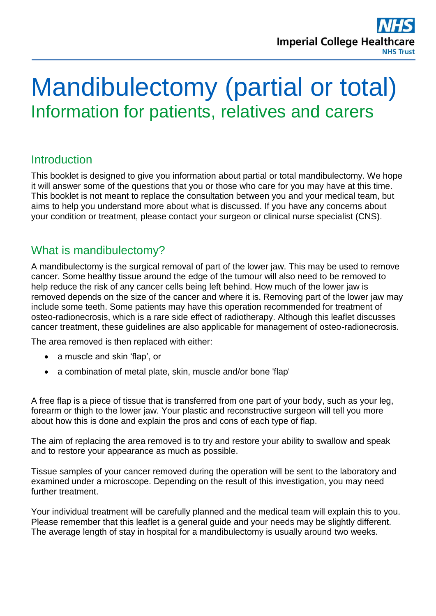

# Mandibulectomy (partial or total) Information for patients, relatives and carers

# **Introduction**

This booklet is designed to give you information about partial or total mandibulectomy. We hope it will answer some of the questions that you or those who care for you may have at this time. This booklet is not meant to replace the consultation between you and your medical team, but aims to help you understand more about what is discussed. If you have any concerns about your condition or treatment, please contact your surgeon or clinical nurse specialist (CNS).

# What is mandibulectomy?

A mandibulectomy is the surgical removal of part of the lower jaw. This may be used to remove cancer. Some healthy tissue around the edge of the tumour will also need to be removed to help reduce the risk of any cancer cells being left behind. How much of the lower jaw is removed depends on the size of the cancer and where it is. Removing part of the lower jaw may include some teeth. Some patients may have this operation recommended for treatment of osteo-radionecrosis, which is a rare side effect of radiotherapy. Although this leaflet discusses cancer treatment, these guidelines are also applicable for management of osteo-radionecrosis.

The area removed is then replaced with either:

- a muscle and skin 'flap', or
- a combination of metal plate, skin, muscle and/or bone 'flap'

A free flap is a piece of tissue that is transferred from one part of your body, such as your leg, forearm or thigh to the lower jaw. Your plastic and reconstructive surgeon will tell you more about how this is done and explain the pros and cons of each type of flap.

The aim of replacing the area removed is to try and restore your ability to swallow and speak and to restore your appearance as much as possible.

Tissue samples of your cancer removed during the operation will be sent to the laboratory and examined under a microscope. Depending on the result of this investigation, you may need further treatment.

Your individual treatment will be carefully planned and the medical team will explain this to you. Please remember that this leaflet is a general guide and your needs may be slightly different. The average length of stay in hospital for a mandibulectomy is usually around two weeks.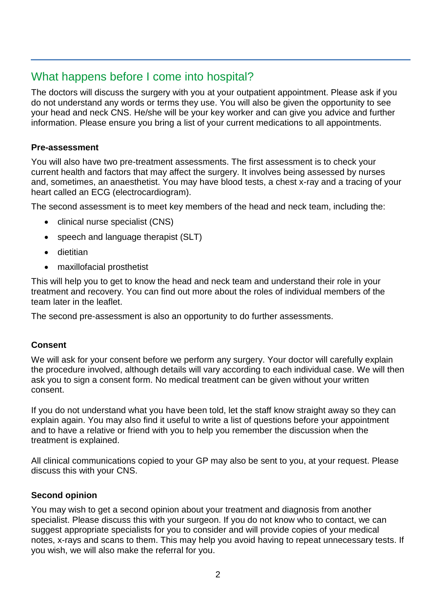# What happens before I come into hospital?

The doctors will discuss the surgery with you at your outpatient appointment. Please ask if you do not understand any words or terms they use. You will also be given the opportunity to see your head and neck CNS. He/she will be your key worker and can give you advice and further information. Please ensure you bring a list of your current medications to all appointments.

#### **Pre-assessment**

You will also have two pre-treatment assessments. The first assessment is to check your current health and factors that may affect the surgery. It involves being assessed by nurses and, sometimes, an anaesthetist. You may have blood tests, a chest x-ray and a tracing of your heart called an ECG (electrocardiogram).

The second assessment is to meet key members of the head and neck team, including the:

- clinical nurse specialist (CNS)
- speech and language therapist (SLT)
- dietitian
- maxillofacial prosthetist

This will help you to get to know the head and neck team and understand their role in your treatment and recovery. You can find out more about the roles of individual members of the team later in the leaflet.

The second pre-assessment is also an opportunity to do further assessments.

#### **Consent**

We will ask for your consent before we perform any surgery. Your doctor will carefully explain the procedure involved, although details will vary according to each individual case. We will then ask you to sign a consent form. No medical treatment can be given without your written consent.

If you do not understand what you have been told, let the staff know straight away so they can explain again. You may also find it useful to write a list of questions before your appointment and to have a relative or friend with you to help you remember the discussion when the treatment is explained.

All clinical communications copied to your GP may also be sent to you, at your request. Please discuss this with your CNS.

#### **Second opinion**

You may wish to get a second opinion about your treatment and diagnosis from another specialist. Please discuss this with your surgeon. If you do not know who to contact, we can suggest appropriate specialists for you to consider and will provide copies of your medical notes, x-rays and scans to them. This may help you avoid having to repeat unnecessary tests. If you wish, we will also make the referral for you.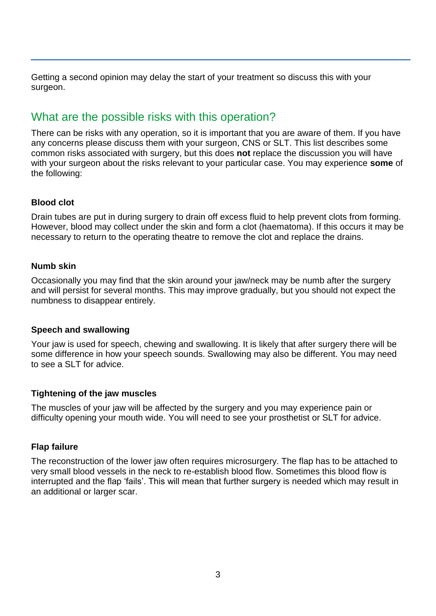Getting a second opinion may delay the start of your treatment so discuss this with your surgeon.

# What are the possible risks with this operation?

There can be risks with any operation, so it is important that you are aware of them. If you have any concerns please discuss them with your surgeon, CNS or SLT. This list describes some common risks associated with surgery, but this does **not** replace the discussion you will have with your surgeon about the risks relevant to your particular case. You may experience **some** of the following:

#### **Blood clot**

Drain tubes are put in during surgery to drain off excess fluid to help prevent clots from forming. However, blood may collect under the skin and form a clot (haematoma). If this occurs it may be necessary to return to the operating theatre to remove the clot and replace the drains.

#### **Numb skin**

Occasionally you may find that the skin around your jaw/neck may be numb after the surgery and will persist for several months. This may improve gradually, but you should not expect the numbness to disappear entirely.

#### **Speech and swallowing**

Your jaw is used for speech, chewing and swallowing. It is likely that after surgery there will be some difference in how your speech sounds. Swallowing may also be different. You may need to see a SLT for advice.

#### **Tightening of the jaw muscles**

The muscles of your jaw will be affected by the surgery and you may experience pain or difficulty opening your mouth wide. You will need to see your prosthetist or SLT for advice.

#### **Flap failure**

The reconstruction of the lower jaw often requires microsurgery. The flap has to be attached to very small blood vessels in the neck to re-establish blood flow. Sometimes this blood flow is interrupted and the flap 'fails'. This will mean that further surgery is needed which may result in an additional or larger scar.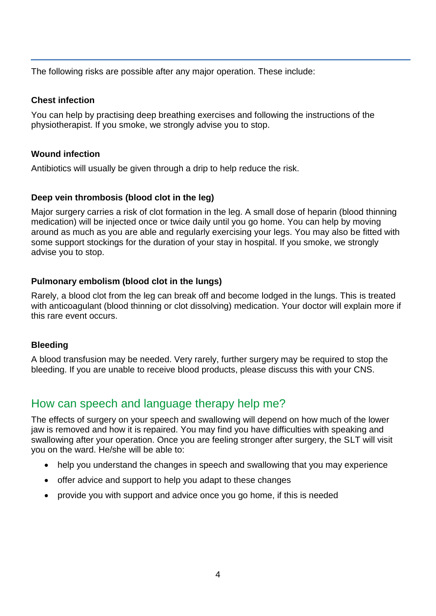The following risks are possible after any major operation. These include:

#### **Chest infection**

You can help by practising deep breathing exercises and following the instructions of the physiotherapist. If you smoke, we strongly advise you to stop.

#### **Wound infection**

Antibiotics will usually be given through a drip to help reduce the risk.

#### **Deep vein thrombosis (blood clot in the leg)**

Major surgery carries a risk of clot formation in the leg. A small dose of heparin (blood thinning medication) will be injected once or twice daily until you go home. You can help by moving around as much as you are able and regularly exercising your legs. You may also be fitted with some support stockings for the duration of your stay in hospital. If you smoke, we strongly advise you to stop.

#### **Pulmonary embolism (blood clot in the lungs)**

Rarely, a blood clot from the leg can break off and become lodged in the lungs. This is treated with anticoagulant (blood thinning or clot dissolving) medication. Your doctor will explain more if this rare event occurs.

#### **Bleeding**

A blood transfusion may be needed. Very rarely, further surgery may be required to stop the bleeding. If you are unable to receive blood products, please discuss this with your CNS.

# How can speech and language therapy help me?

The effects of surgery on your speech and swallowing will depend on how much of the lower jaw is removed and how it is repaired. You may find you have difficulties with speaking and swallowing after your operation. Once you are feeling stronger after surgery, the SLT will visit you on the ward. He/she will be able to:

- help you understand the changes in speech and swallowing that you may experience
- offer advice and support to help you adapt to these changes
- provide you with support and advice once you go home, if this is needed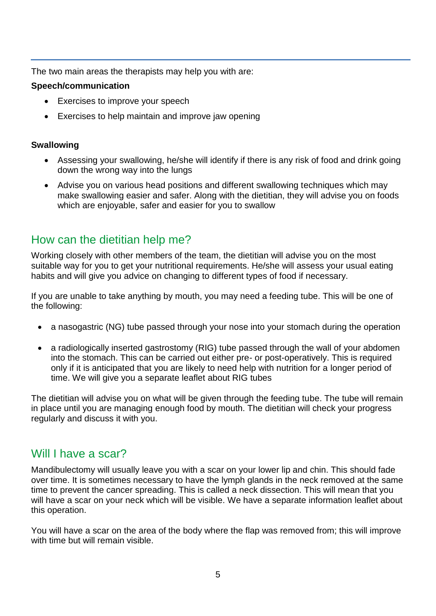The two main areas the therapists may help you with are:

#### **Speech/communication**

- Exercises to improve your speech
- Exercises to help maintain and improve jaw opening

#### **Swallowing**

- Assessing your swallowing, he/she will identify if there is any risk of food and drink going down the wrong way into the lungs
- Advise you on various head positions and different swallowing techniques which may make swallowing easier and safer. Along with the dietitian, they will advise you on foods which are enjoyable, safer and easier for you to swallow

# How can the dietitian help me?

Working closely with other members of the team, the dietitian will advise you on the most suitable way for you to get your nutritional requirements. He/she will assess your usual eating habits and will give you advice on changing to different types of food if necessary.

If you are unable to take anything by mouth, you may need a feeding tube. This will be one of the following:

- a nasogastric (NG) tube passed through your nose into your stomach during the operation
- a radiologically inserted gastrostomy (RIG) tube passed through the wall of your abdomen into the stomach. This can be carried out either pre- or post-operatively. This is required only if it is anticipated that you are likely to need help with nutrition for a longer period of time. We will give you a separate leaflet about RIG tubes

The dietitian will advise you on what will be given through the feeding tube. The tube will remain in place until you are managing enough food by mouth. The dietitian will check your progress regularly and discuss it with you.

## Will I have a scar?

Mandibulectomy will usually leave you with a scar on your lower lip and chin. This should fade over time. It is sometimes necessary to have the lymph glands in the neck removed at the same time to prevent the cancer spreading. This is called a neck dissection. This will mean that you will have a scar on your neck which will be visible. We have a separate information leaflet about this operation.

You will have a scar on the area of the body where the flap was removed from; this will improve with time but will remain visible.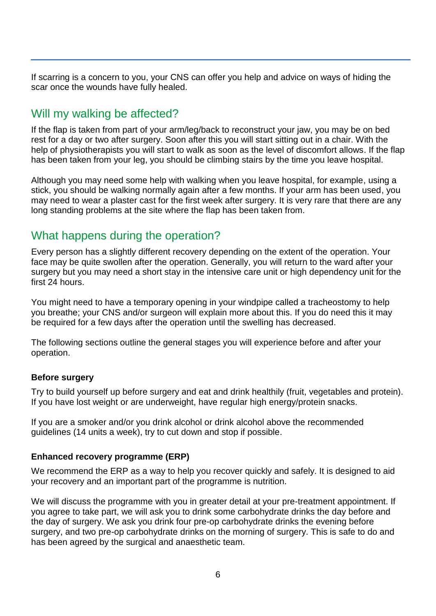If scarring is a concern to you, your CNS can offer you help and advice on ways of hiding the scar once the wounds have fully healed.

# Will my walking be affected?

If the flap is taken from part of your arm/leg/back to reconstruct your jaw, you may be on bed rest for a day or two after surgery. Soon after this you will start sitting out in a chair. With the help of physiotherapists you will start to walk as soon as the level of discomfort allows. If the flap has been taken from your leg, you should be climbing stairs by the time you leave hospital.

Although you may need some help with walking when you leave hospital, for example, using a stick, you should be walking normally again after a few months. If your arm has been used, you may need to wear a plaster cast for the first week after surgery. It is very rare that there are any long standing problems at the site where the flap has been taken from.

# What happens during the operation?

Every person has a slightly different recovery depending on the extent of the operation. Your face may be quite swollen after the operation. Generally, you will return to the ward after your surgery but you may need a short stay in the intensive care unit or high dependency unit for the first 24 hours.

You might need to have a temporary opening in your windpipe called a tracheostomy to help you breathe; your CNS and/or surgeon will explain more about this. If you do need this it may be required for a few days after the operation until the swelling has decreased.

The following sections outline the general stages you will experience before and after your operation.

#### **Before surgery**

Try to build yourself up before surgery and eat and drink healthily (fruit, vegetables and protein). If you have lost weight or are underweight, have regular high energy/protein snacks.

If you are a smoker and/or you drink alcohol or drink alcohol above the recommended guidelines (14 units a week), try to cut down and stop if possible.

#### **Enhanced recovery programme (ERP)**

We recommend the ERP as a way to help you recover quickly and safely. It is designed to aid your recovery and an important part of the programme is nutrition.

We will discuss the programme with you in greater detail at your pre-treatment appointment. If you agree to take part, we will ask you to drink some carbohydrate drinks the day before and the day of surgery. We ask you drink four pre-op carbohydrate drinks the evening before surgery, and two pre-op carbohydrate drinks on the morning of surgery. This is safe to do and has been agreed by the surgical and anaesthetic team.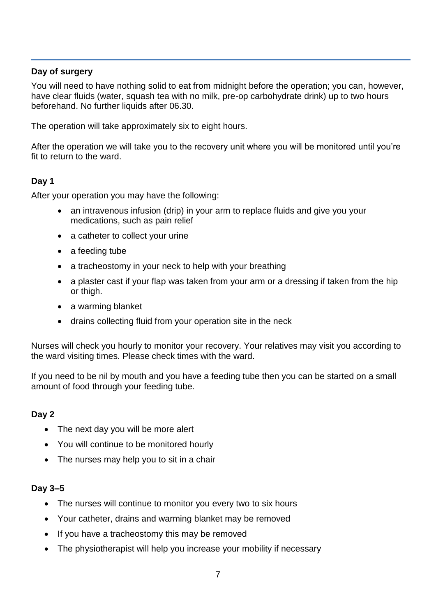#### **Day of surgery**

You will need to have nothing solid to eat from midnight before the operation; you can, however, have clear fluids (water, squash tea with no milk, pre-op carbohydrate drink) up to two hours beforehand. No further liquids after 06.30.

The operation will take approximately six to eight hours.

After the operation we will take you to the recovery unit where you will be monitored until you're fit to return to the ward.

#### **Day 1**

After your operation you may have the following:

- an intravenous infusion (drip) in your arm to replace fluids and give you your medications, such as pain relief
- a catheter to collect your urine
- a feeding tube
- a tracheostomy in your neck to help with your breathing
- a plaster cast if your flap was taken from your arm or a dressing if taken from the hip or thigh.
- a warming blanket
- drains collecting fluid from your operation site in the neck

Nurses will check you hourly to monitor your recovery. Your relatives may visit you according to the ward visiting times. Please check times with the ward.

If you need to be nil by mouth and you have a feeding tube then you can be started on a small amount of food through your feeding tube.

#### **Day 2**

- The next day you will be more alert
- You will continue to be monitored hourly
- The nurses may help you to sit in a chair

#### **Day 3–5**

- The nurses will continue to monitor you every two to six hours
- Your catheter, drains and warming blanket may be removed
- If you have a tracheostomy this may be removed
- The physiotherapist will help you increase your mobility if necessary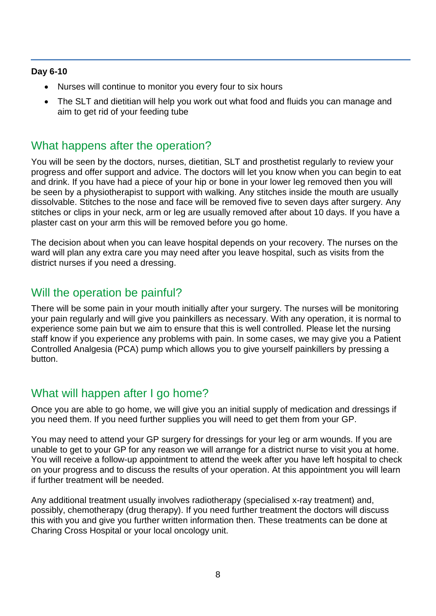#### **Day 6-10**

- Nurses will continue to monitor you every four to six hours
- The SLT and dietitian will help you work out what food and fluids you can manage and aim to get rid of your feeding tube

## What happens after the operation?

You will be seen by the doctors, nurses, dietitian, SLT and prosthetist regularly to review your progress and offer support and advice. The doctors will let you know when you can begin to eat and drink. If you have had a piece of your hip or bone in your lower leg removed then you will be seen by a physiotherapist to support with walking. Any stitches inside the mouth are usually dissolvable. Stitches to the nose and face will be removed five to seven days after surgery. Any stitches or clips in your neck, arm or leg are usually removed after about 10 days. If you have a plaster cast on your arm this will be removed before you go home.

The decision about when you can leave hospital depends on your recovery. The nurses on the ward will plan any extra care you may need after you leave hospital, such as visits from the district nurses if you need a dressing.

## Will the operation be painful?

There will be some pain in your mouth initially after your surgery. The nurses will be monitoring your pain regularly and will give you painkillers as necessary. With any operation, it is normal to experience some pain but we aim to ensure that this is well controlled. Please let the nursing staff know if you experience any problems with pain. In some cases, we may give you a Patient Controlled Analgesia (PCA) pump which allows you to give yourself painkillers by pressing a button.

## What will happen after I go home?

Once you are able to go home, we will give you an initial supply of medication and dressings if you need them. If you need further supplies you will need to get them from your GP.

You may need to attend your GP surgery for dressings for your leg or arm wounds. If you are unable to get to your GP for any reason we will arrange for a district nurse to visit you at home. You will receive a follow-up appointment to attend the week after you have left hospital to check on your progress and to discuss the results of your operation. At this appointment you will learn if further treatment will be needed.

Any additional treatment usually involves radiotherapy (specialised x-ray treatment) and, possibly, chemotherapy (drug therapy). If you need further treatment the doctors will discuss this with you and give you further written information then. These treatments can be done at Charing Cross Hospital or your local oncology unit.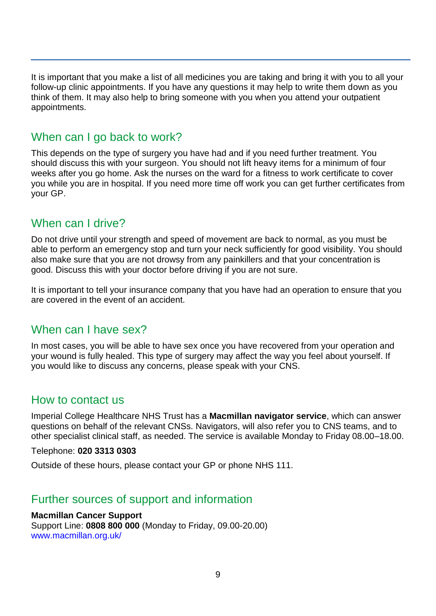It is important that you make a list of all medicines you are taking and bring it with you to all your follow-up clinic appointments. If you have any questions it may help to write them down as you think of them. It may also help to bring someone with you when you attend your outpatient appointments.

# When can I go back to work?

This depends on the type of surgery you have had and if you need further treatment. You should discuss this with your surgeon. You should not lift heavy items for a minimum of four weeks after you go home. Ask the nurses on the ward for a fitness to work certificate to cover you while you are in hospital. If you need more time off work you can get further certificates from your GP.

# When can I drive?

Do not drive until your strength and speed of movement are back to normal, as you must be able to perform an emergency stop and turn your neck sufficiently for good visibility. You should also make sure that you are not drowsy from any painkillers and that your concentration is good. Discuss this with your doctor before driving if you are not sure.

It is important to tell your insurance company that you have had an operation to ensure that you are covered in the event of an accident.

# When can I have sex?

In most cases, you will be able to have sex once you have recovered from your operation and your wound is fully healed. This type of surgery may affect the way you feel about yourself. If you would like to discuss any concerns, please speak with your CNS.

## How to contact us

Imperial College Healthcare NHS Trust has a **Macmillan navigator service**, which can answer questions on behalf of the relevant CNSs. Navigators, will also refer you to CNS teams, and to other specialist clinical staff, as needed. The service is available Monday to Friday 08.00–18.00.

Telephone: **020 3313 0303** 

Outside of these hours, please contact your GP or phone NHS 111.

# Further sources of support and information

#### **Macmillan Cancer Support**

Support Line: **0808 800 000** (Monday to Friday, 09.00-20.00) [www.macmillan.org.uk/](http://www.macmillan.org.uk/)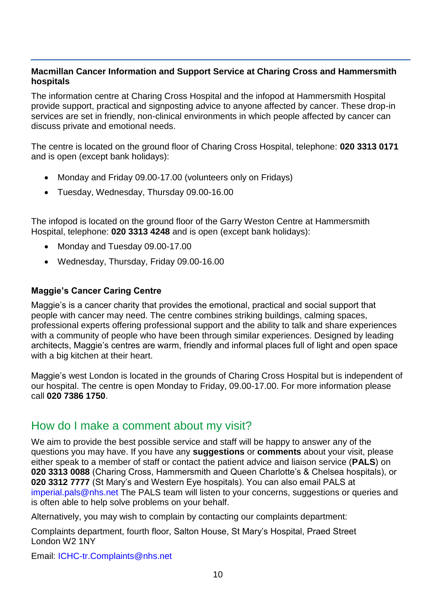#### **Macmillan Cancer Information and Support Service at Charing Cross and Hammersmith hospitals**

The information centre at Charing Cross Hospital and the infopod at Hammersmith Hospital provide support, practical and signposting advice to anyone affected by cancer. These drop-in services are set in friendly, non-clinical environments in which people affected by cancer can discuss private and emotional needs.

The centre is located on the ground floor of Charing Cross Hospital, telephone: **020 3313 0171** and is open (except bank holidays):

- Monday and Friday 09.00-17.00 (volunteers only on Fridays)
- Tuesday, Wednesday, Thursday 09.00-16.00

The infopod is located on the ground floor of the Garry Weston Centre at Hammersmith Hospital, telephone: **020 3313 4248** and is open (except bank holidays):

- Monday and Tuesday 09.00-17.00
- Wednesday, Thursday, Friday 09.00-16.00

#### **Maggie's Cancer Caring Centre**

Maggie's is a cancer charity that provides the emotional, practical and social support that people with cancer may need. The centre combines striking buildings, calming spaces, professional experts offering professional support and the ability to talk and share experiences with a community of people who have been through similar experiences. Designed by leading architects, Maggie's centres are warm, friendly and informal places full of light and open space with a big kitchen at their heart.

Maggie's west London is located in the grounds of Charing Cross Hospital but is independent of our hospital. The centre is open Monday to Friday, 09.00-17.00. For more information please call **020 7386 1750**.

## How do I make a comment about my visit?

We aim to provide the best possible service and staff will be happy to answer any of the questions you may have. If you have any **suggestions** or **comments** about your visit, please either speak to a member of staff or contact the patient advice and liaison service (**PALS**) on **020 3313 0088** (Charing Cross, Hammersmith and Queen Charlotte's & Chelsea hospitals), or **020 3312 7777** (St Mary's and Western Eye hospitals). You can also email PALS at [imperial.pals@nhs.net](mailto:imperial.pals@nhs.net) The PALS team will listen to your concerns, suggestions or queries and is often able to help solve problems on your behalf.

Alternatively, you may wish to complain by contacting our complaints department:

Complaints department, fourth floor, Salton House, St Mary's Hospital, Praed Street London W2 1NY

Email: [ICHC-tr.Complaints@nhs.net](mailto:ICHC-tr.Complaints@nhs.net)